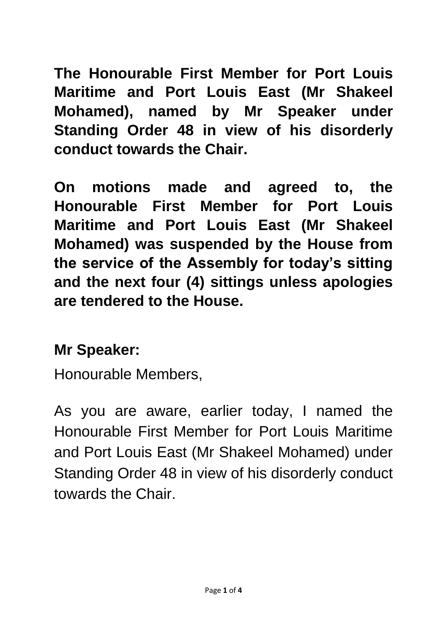**The Honourable First Member for Port Louis Maritime and Port Louis East (Mr Shakeel Mohamed), named by Mr Speaker under Standing Order 48 in view of his disorderly conduct towards the Chair.** 

**On motions made and agreed to, the Honourable First Member for Port Louis Maritime and Port Louis East (Mr Shakeel Mohamed) was suspended by the House from the service of the Assembly for today's sitting and the next four (4) sittings unless apologies are tendered to the House.**

## **Mr Speaker:**

Honourable Members,

As you are aware, earlier today, I named the Honourable First Member for Port Louis Maritime and Port Louis East (Mr Shakeel Mohamed) under Standing Order 48 in view of his disorderly conduct towards the Chair.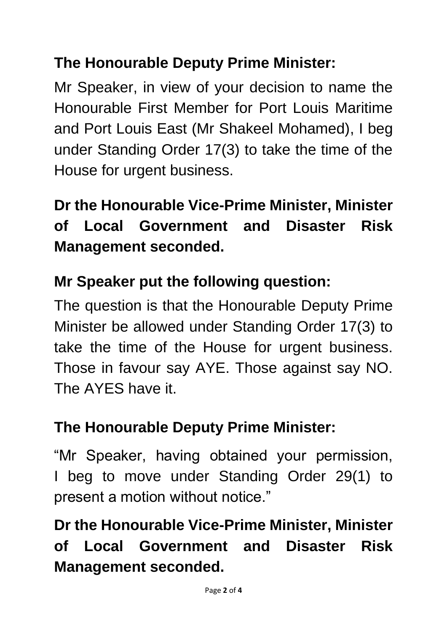# **The Honourable Deputy Prime Minister:**

Mr Speaker, in view of your decision to name the Honourable First Member for Port Louis Maritime and Port Louis East (Mr Shakeel Mohamed), I beg under Standing Order 17(3) to take the time of the House for urgent business.

**Dr the Honourable Vice-Prime Minister, Minister of Local Government and Disaster Risk Management seconded.**

### **Mr Speaker put the following question:**

The question is that the Honourable Deputy Prime Minister be allowed under Standing Order 17(3) to take the time of the House for urgent business. Those in favour say AYE. Those against say NO. The AYES have it.

#### **The Honourable Deputy Prime Minister:**

"Mr Speaker, having obtained your permission, I beg to move under Standing Order 29(1) to present a motion without notice."

**Dr the Honourable Vice-Prime Minister, Minister of Local Government and Disaster Risk Management seconded.**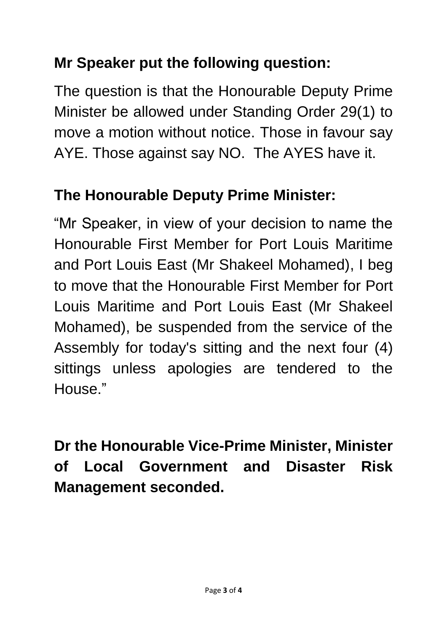# **Mr Speaker put the following question:**

The question is that the Honourable Deputy Prime Minister be allowed under Standing Order 29(1) to move a motion without notice. Those in favour say AYE. Those against say NO. The AYES have it.

## **The Honourable Deputy Prime Minister:**

"Mr Speaker, in view of your decision to name the Honourable First Member for Port Louis Maritime and Port Louis East (Mr Shakeel Mohamed), I beg to move that the Honourable First Member for Port Louis Maritime and Port Louis East (Mr Shakeel Mohamed), be suspended from the service of the Assembly for today's sitting and the next four (4) sittings unless apologies are tendered to the House."

**Dr the Honourable Vice-Prime Minister, Minister of Local Government and Disaster Risk Management seconded.**